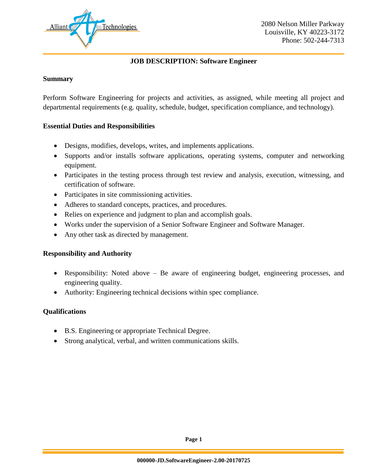

### **JOB DESCRIPTION: Software Engineer**

### **Summary**

Perform Software Engineering for projects and activities, as assigned, while meeting all project and departmental requirements (e.g. quality, schedule, budget, specification compliance, and technology).

### **Essential Duties and Responsibilities**

- Designs, modifies, develops, writes, and implements applications.
- Supports and/or installs software applications, operating systems, computer and networking equipment.
- Participates in the testing process through test review and analysis, execution, witnessing, and certification of software.
- Participates in site commissioning activities.
- Adheres to standard concepts, practices, and procedures.
- Relies on experience and judgment to plan and accomplish goals.
- Works under the supervision of a Senior Software Engineer and Software Manager.
- Any other task as directed by management.

### **Responsibility and Authority**

- Responsibility: Noted above Be aware of engineering budget, engineering processes, and engineering quality.
- Authority: Engineering technical decisions within spec compliance.

### **Qualifications**

- B.S. Engineering or appropriate Technical Degree.
- Strong analytical, verbal, and written communications skills.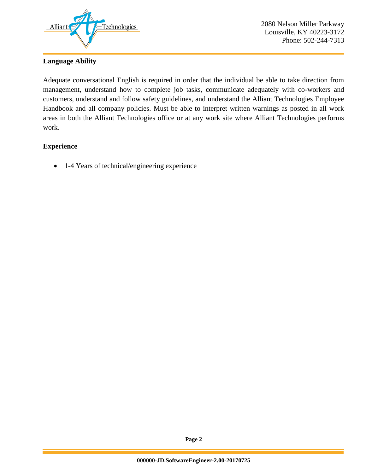

## **Language Ability**

Adequate conversational English is required in order that the individual be able to take direction from management, understand how to complete job tasks, communicate adequately with co-workers and customers, understand and follow safety guidelines, and understand the Alliant Technologies Employee Handbook and all company policies. Must be able to interpret written warnings as posted in all work areas in both the Alliant Technologies office or at any work site where Alliant Technologies performs work.

## **Experience**

• 1-4 Years of technical/engineering experience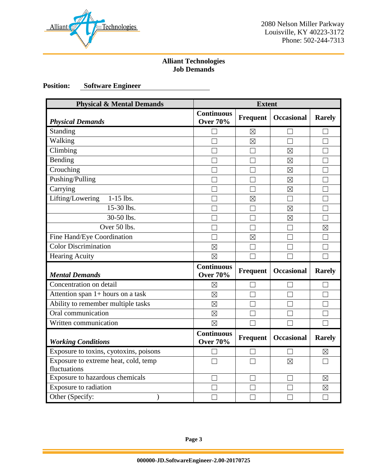

## **Alliant Technologies Job Demands**

# **Position: Software Engineer**

| <b>Physical &amp; Mental Demands</b>                 | <b>Extent</b>                        |                   |                   |               |
|------------------------------------------------------|--------------------------------------|-------------------|-------------------|---------------|
| <b>Physical Demands</b>                              | <b>Continuous</b><br><b>Over 70%</b> | Frequent          | <b>Occasional</b> | <b>Rarely</b> |
| Standing                                             | H                                    | $\boxtimes$       | $\mathbf{L}$      |               |
| Walking                                              | $\Box$                               | $\boxtimes$       | $\Box$            | П             |
| Climbing                                             |                                      |                   | $\boxtimes$       |               |
| Bending                                              |                                      | $\Box$            | $\boxtimes$       |               |
| Crouching                                            |                                      | $\vert \ \ \vert$ | $\boxtimes$       |               |
| Pushing/Pulling                                      |                                      | m.                | $\boxtimes$       |               |
| Carrying                                             |                                      |                   | $\boxtimes$       |               |
| $1-15$ lbs.<br>Lifting/Lowering                      |                                      | $\boxtimes$       | $\Box$            |               |
| 15-30 lbs.                                           |                                      | M                 | $\boxtimes$       |               |
| 30-50 lbs.                                           |                                      | $\vert \ \ \vert$ | $\boxtimes$       |               |
| Over 50 lbs.                                         |                                      | $\Box$            | П                 | $\boxtimes$   |
| Fine Hand/Eye Coordination                           |                                      | $\boxtimes$       | $\vert \ \ \vert$ |               |
| <b>Color Discrimination</b>                          | $\boxtimes$                          | $\Box$            |                   |               |
| <b>Hearing Acuity</b>                                | $\boxtimes$                          |                   |                   |               |
| <b>Mental Demands</b>                                | <b>Continuous</b><br><b>Over 70%</b> | <b>Frequent</b>   | <b>Occasional</b> | <b>Rarely</b> |
| Concentration on detail                              | $\boxtimes$                          |                   |                   |               |
| Attention span 1+ hours on a task                    | $\boxtimes$                          | $\Box$            | П                 |               |
| Ability to remember multiple tasks                   | $\boxtimes$                          | $\vert \ \ \vert$ | $\vert \ \ \vert$ |               |
| Oral communication                                   | $\boxtimes$                          |                   |                   |               |
| Written communication                                | $\boxtimes$                          | Г                 |                   |               |
| <b>Working Conditions</b>                            | <b>Continuous</b><br><b>Over 70%</b> | <b>Frequent</b>   | <b>Occasional</b> | <b>Rarely</b> |
| Exposure to toxins, cyotoxins, poisons               |                                      | $\Box$            | $\Box$            | $\boxtimes$   |
| Exposure to extreme heat, cold, temp<br>fluctuations |                                      | $\Box$            | $\boxtimes$       |               |
| Exposure to hazardous chemicals                      |                                      |                   |                   | $\boxtimes$   |
| Exposure to radiation                                |                                      | H                 |                   | ⊠             |
| Other (Specify:<br>$\mathcal{Y}$                     |                                      |                   |                   | $\Box$        |

**Page 3**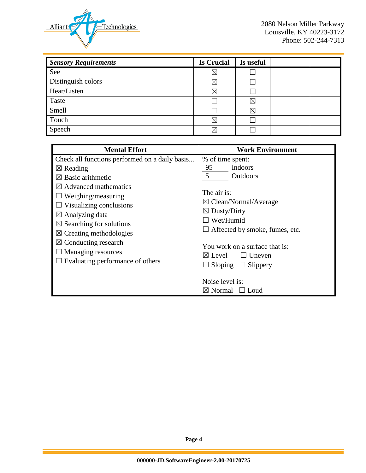

| <b>Sensory Requirements</b> | <b>Is Crucial</b> | Is useful |  |
|-----------------------------|-------------------|-----------|--|
| See                         | $\boxtimes$       |           |  |
| Distinguish colors          | $\boxtimes$       |           |  |
| Hear/Listen                 | $\boxtimes$       |           |  |
| Taste                       |                   | ⊠         |  |
| Smell                       |                   | ⊠         |  |
| Touch                       | $\boxtimes$       |           |  |
| Speech                      | R                 |           |  |

| <b>Mental Effort</b>                                                                                                                                                                                                                                                                                                                                                                                                    | <b>Work Environment</b>                                                                                                                                                                                                                                                                                                                                  |
|-------------------------------------------------------------------------------------------------------------------------------------------------------------------------------------------------------------------------------------------------------------------------------------------------------------------------------------------------------------------------------------------------------------------------|----------------------------------------------------------------------------------------------------------------------------------------------------------------------------------------------------------------------------------------------------------------------------------------------------------------------------------------------------------|
| Check all functions performed on a daily basis<br>$\boxtimes$ Reading<br>$\boxtimes$ Basic arithmetic<br>$\boxtimes$ Advanced mathematics<br>$\Box$ Weighing/measuring<br>$\Box$ Visualizing conclusions<br>$\boxtimes$ Analyzing data<br>$\boxtimes$ Searching for solutions<br>$\boxtimes$ Creating methodologies<br>$\boxtimes$ Conducting research<br>$\Box$ Managing resources<br>Evaluating performance of others | % of time spent:<br>95<br>Indoors<br>5<br>Outdoors<br>The air is:<br>$\boxtimes$ Clean/Normal/Average<br>$\boxtimes$ Dusty/Dirty<br>Wet/Humid<br>$\Box$ Affected by smoke, fumes, etc.<br>You work on a surface that is:<br>$\Box$ Uneven<br>$\boxtimes$ Level<br>$\Box$ Sloping $\Box$ Slippery<br>Noise level is:<br>$\boxtimes$ Normal<br>$\Box$ Loud |

**Page 4**